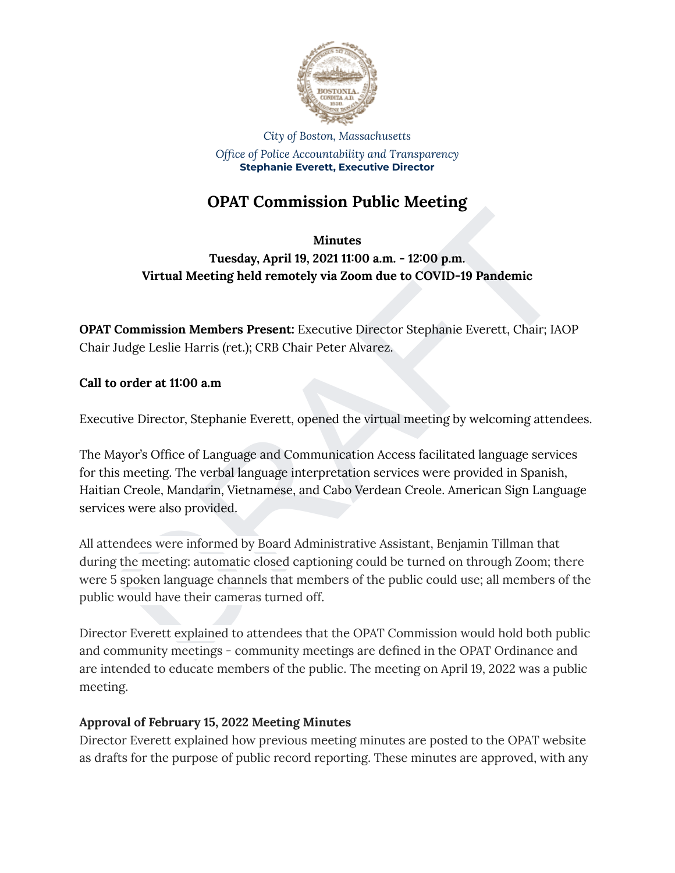

*City of Boston, Massachusetts Office of Police Accountability and Transparency* **Stephanie Everett, Executive Director**

# **OPAT Commission Public Meeting**

## **Minutes**

**Tuesday, April 19, 2021 11:00 a.m. - 12:00 p.m. Virtual Meeting held remotely via Zoom due to COVID-19 Pandemic**

**OPAT Commission Members Present:** Executive Director Stephanie Everett, Chair; IAOP Chair Judge Leslie Harris (ret.); CRB Chair Peter Alvarez.

**Call to order at 11:00 a.m**

Executive Director, Stephanie Everett, opened the virtual meeting by welcoming attendees.

The Mayor's Office of Language and Communication Access facilitated language services for this meeting. The verbal language interpretation services were provided in Spanish, Haitian Creole, Mandarin, Vietnamese, and Cabo Verdean Creole. American Sign Language services were also provided.

Minutes<br>
Minutes<br>
Tuesday, April 19, 2021 11:00 a.m. - 12:00 p.m.<br>
Virtual Meeting held remotely via Zoom due to COVID-19 Pandemic<br>
Commission Members Present: Executive Director Stephanic Everett, Chair; IAOP<br>
Judge Lesli All attendees were informed by Board Administrative Assistant, Benjamin Tillman that during the meeting: automatic closed captioning could be turned on through Zoom; there were 5 spoken language channels that members of the public could use; all members of the public would have their cameras turned off.

Director Everett explained to attendees that the OPAT Commission would hold both public and community meetings - community meetings are defined in the OPAT Ordinance and are intended to educate members of the public. The meeting on April 19, 2022 was a public meeting.

## **Approval of February 15, 2022 Meeting Minutes**

Director Everett explained how previous meeting minutes are posted to the OPAT website as drafts for the purpose of public record reporting. These minutes are approved, with any